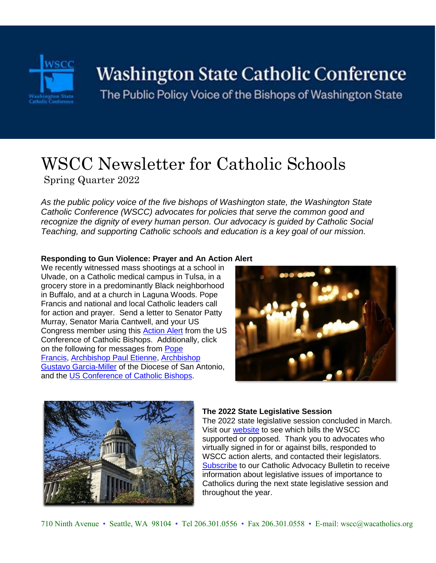

# Washington State Catholic Conference

The Public Policy Voice of the Bishops of Washington State

# WSCC Newsletter for Catholic Schools Spring Quarter 2022

*As the public policy voice of the five bishops of Washington state, the Washington State Catholic Conference (WSCC) advocates for policies that serve the common good and recognize the dignity of every human person. Our advocacy is guided by Catholic Social Teaching, and supporting Catholic schools and education is a key goal of our mission.* 

#### **Responding to Gun Violence: Prayer and An Action Alert**

We recently witnessed mass shootings at a school in Ulvade, on a Catholic medical campus in Tulsa, in a grocery store in a predominantly Black neighborhood in Buffalo, and at a church in Laguna Woods. Pope Francis and national and local Catholic leaders call for action and prayer. Send a letter to Senator Patty Murray, Senator Maria Cantwell, and your US Congress member using this [Action Alert](https://www.votervoice.net/USCCB/Campaigns/95469/Respond) from the US Conference of Catholic Bishops. Additionally, click on the following for messages from [Pope](https://www.catholicnews.com/pope-prays-for-texas-shooting-victims-calls-for-stricter-gun-laws/#.Yo5Z-E46Eeg.twitter)  [Francis,](https://www.catholicnews.com/pope-prays-for-texas-shooting-victims-calls-for-stricter-gun-laws/#.Yo5Z-E46Eeg.twitter) [Archbishop Paul Etienne,](https://vimeo.com/713879347) [Archbishop](https://www.facebook.com/ArchdioceseOfSanAntonio)  [Gustavo Garcia-Miller](https://www.facebook.com/ArchdioceseOfSanAntonio) of the Diocese of San Antonio, and the US [Conference of Catholic Bishops.](https://www.usccb.org/news/2022/statement-usccb-school-shooting-uvalde-texas)





#### **The 2022 State Legislative Session**

The 2022 state legislative session concluded in March. Visit our [website](https://www.wacatholics.org/be-an-advocate/current-legislation) to see which bills the WSCC supported or opposed. Thank you to advocates who virtually signed in for or against bills, responded to WSCC action alerts, and contacted their legislators. [Subscribe](https://www.wacatholics.org/be-an-advocate/join-our-network) to our Catholic Advocacy Bulletin to receive information about legislative issues of importance to Catholics during the next state legislative session and throughout the year.